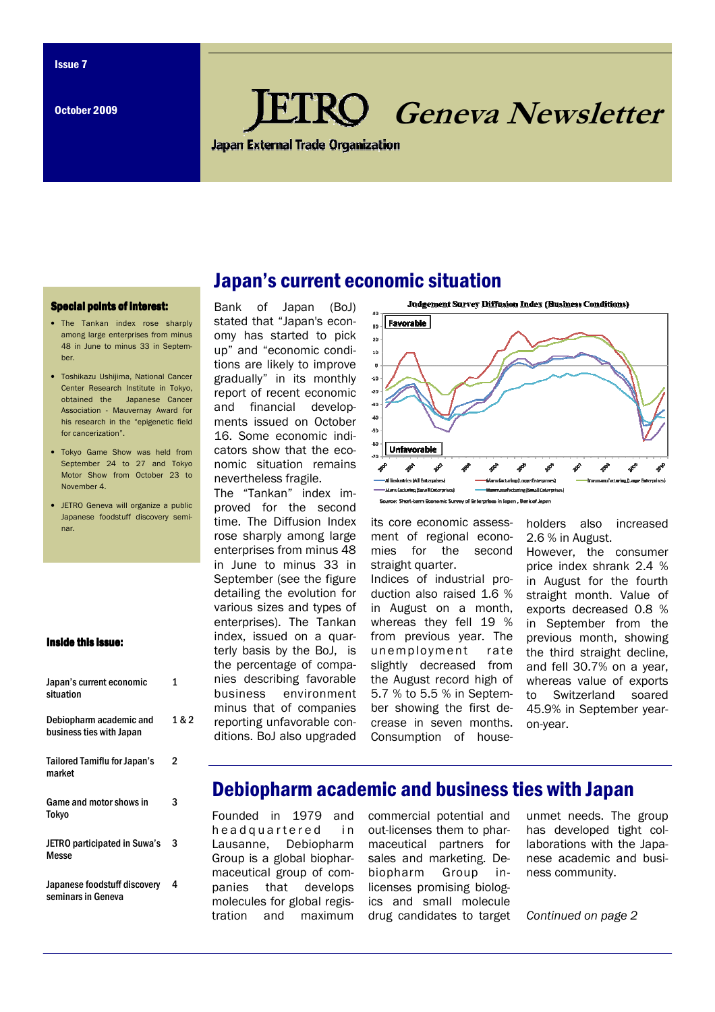October 2009

# **RO** Geneva Newsletter

**Japan External Trade Organization** 

#### **Special points of interest:**

- The Tankan index rose sharply among large enterprises from minus 48 in June to minus 33 in September.
- Toshikazu Ushijima, National Cancer Center Research Institute in Tokyo, obtained the Japanese Cancer Association - Mauvernay Award for his research in the "epigenetic field for cancerization".
- Tokyo Game Show was held from September 24 to 27 and Tokyo Motor Show from October 23 to November 4
- JETRO Geneva will organize a public Japanese foodstuff discovery seminar.

#### Inside this issue:

| Japan's current economic<br>situation               | 1     |
|-----------------------------------------------------|-------|
| Debiopharm academic and<br>business ties with Japan | 1 & 2 |
| <b>Tailored Tamiflu for Japan's</b><br>market       | 2     |
| Game and motor shows in<br>Tokyo                    | 3     |
| <b>JETRO participated in Suwa's</b><br>Messe        | 3     |
| Japanese foodstuff discovery<br>seminars in Geneva  | 4     |

Bank of Japan (BoJ) stated that "Japan's economy has started to pick up" and "economic conditions are likely to improve gradually" in its monthly report of recent economic and financial developments issued on October 16. Some economic indicators show that the economic situation remains nevertheless fragile.

The "Tankan" index improved for the second time. The Diffusion Index rose sharply among large enterprises from minus 48 in June to minus 33 in September (see the figure detailing the evolution for various sizes and types of enterprises). The Tankan index, issued on a quarterly basis by the BoJ, is the percentage of companies describing favorable business environment minus that of companies reporting unfavorable conditions. BoJ also upgraded



its core economic assessment of regional economies for the second straight quarter. Indices of industrial production also raised 1.6 % in August on a month, whereas they fell 19 % from previous year. The unemployment rate slightly decreased from the August record high of 5.7 % to 5.5 % in September showing the first decrease in seven months. Consumption of householders also increased 2.6 % in August.

However, the consumer price index shrank 2.4 % in August for the fourth straight month. Value of exports decreased 0.8 % in September from the previous month, showing the third straight decline, and fell 30.7% on a year, whereas value of exports to Switzerland soared 45.9% in September yearon-year.

## Debiopharm academic and business ties with Japan

Founded in 1979 and he a d q u a r t e r e d in Lausanne, Debiopharm Group is a global biopharmaceutical group of companies that develops molecules for global regis-

tration and maximum drug candidates to target commercial potential and out-licenses them to pharmaceutical partners for sales and marketing. Debiopharm Group inlicenses promising biologics and small molecule

unmet needs. The group has developed tight collaborations with the Japanese academic and business community.

Continued on page 2

# Japan's current economic situation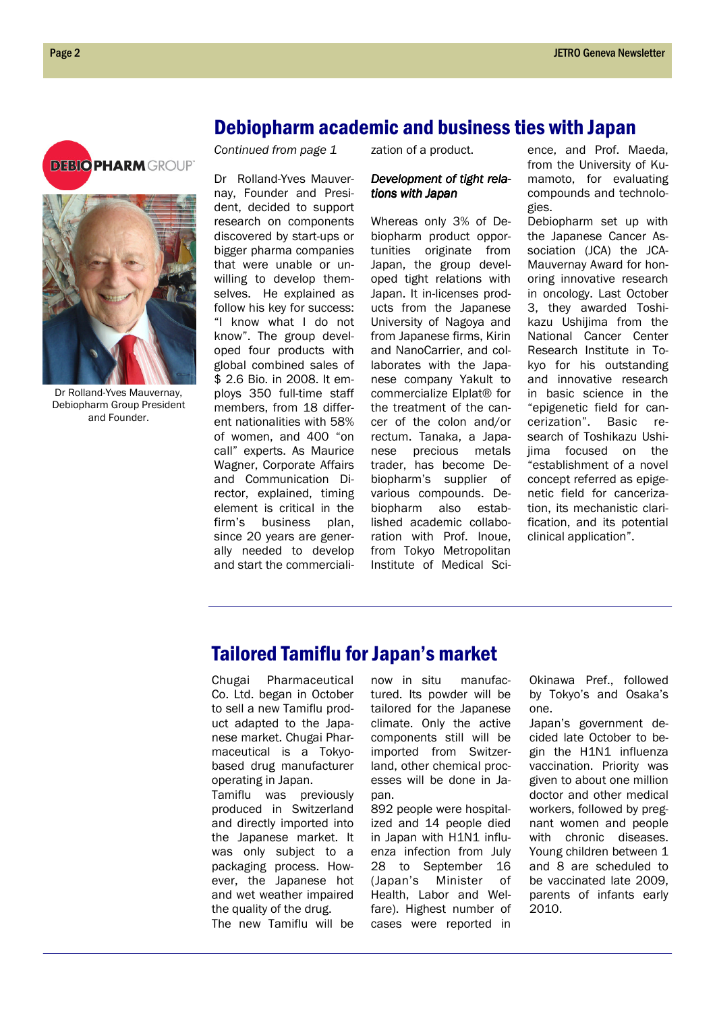## Debiopharm academic and business ties with Japan





Dr Rolland-Yves Mauvernay, Debiopharm Group President and Founder.

Continued from page 1

Dr Rolland-Yves Mauvernay, Founder and President, decided to support research on components discovered by start-ups or bigger pharma companies that were unable or unwilling to develop themselves. He explained as follow his key for success: "I know what I do not know". The group developed four products with global combined sales of \$ 2.6 Bio. in 2008. It employs 350 full-time staff members, from 18 different nationalities with 58% of women, and 400 "on call" experts. As Maurice Wagner, Corporate Affairs and Communication Director, explained, timing element is critical in the firm's business plan, since 20 years are generally needed to develop and start the commercialization of a product.

## Development of tight relations with Japan

Whereas only 3% of Debiopharm product opportunities originate from Japan, the group developed tight relations with Japan. It in-licenses products from the Japanese University of Nagoya and from Japanese firms, Kirin and NanoCarrier, and collaborates with the Japanese company Yakult to commercialize Elplat® for the treatment of the cancer of the colon and/or rectum. Tanaka, a Japanese precious metals trader, has become Debiopharm's supplier of various compounds. Debiopharm also established academic collaboration with Prof. Inoue, from Tokyo Metropolitan Institute of Medical Science, and Prof. Maeda, from the University of Kumamoto, for evaluating compounds and technologies.

Debiopharm set up with the Japanese Cancer Association (JCA) the JCA-Mauvernay Award for honoring innovative research in oncology. Last October 3, they awarded Toshikazu Ushijima from the National Cancer Center Research Institute in Tokyo for his outstanding and innovative research in basic science in the "epigenetic field for cancerization". Basic research of Toshikazu Ushijima focused on the "establishment of a novel concept referred as epigenetic field for cancerization, its mechanistic clarification, and its potential clinical application".

# Tailored Tamiflu for Japan's market

Chugai Pharmaceutical Co. Ltd. began in October to sell a new Tamiflu product adapted to the Japanese market. Chugai Pharmaceutical is a Tokyobased drug manufacturer operating in Japan.

Tamiflu was previously produced in Switzerland and directly imported into the Japanese market. It was only subject to a packaging process. However, the Japanese hot and wet weather impaired the quality of the drug. The new Tamiflu will be

now in situ manufactured. Its powder will be tailored for the Japanese climate. Only the active components still will be imported from Switzerland, other chemical processes will be done in Japan.

892 people were hospitalized and 14 people died in Japan with H1N1 influenza infection from July 28 to September 16 (Japan's Minister of Health, Labor and Welfare). Highest number of cases were reported in Okinawa Pref., followed by Tokyo's and Osaka's one.

Japan's government decided late October to begin the H1N1 influenza vaccination. Priority was given to about one million doctor and other medical workers, followed by pregnant women and people with chronic diseases. Young children between 1 and 8 are scheduled to be vaccinated late 2009, parents of infants early 2010.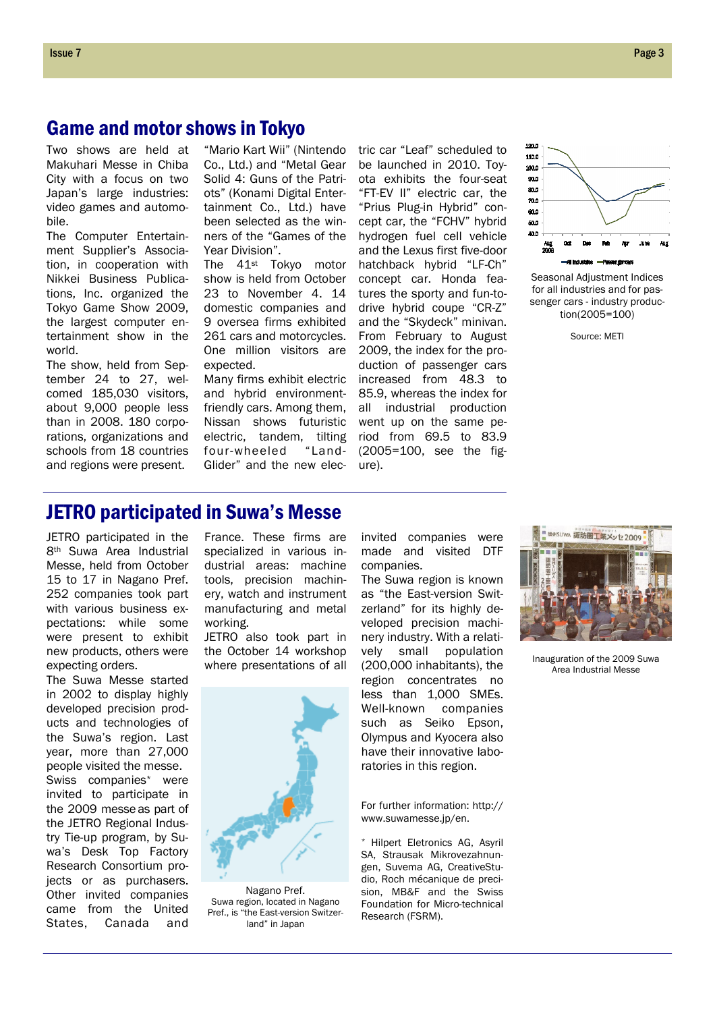## Game and motor shows in Tokyo

Two shows are held at Makuhari Messe in Chiba City with a focus on two Japan's large industries: video games and automobile.

The Computer Entertainment Supplier's Association, in cooperation with Nikkei Business Publications, Inc. organized the Tokyo Game Show 2009, the largest computer entertainment show in the world.

The show, held from September 24 to 27, welcomed 185,030 visitors, about 9,000 people less than in 2008. 180 corporations, organizations and schools from 18 countries and regions were present.

Co., Ltd.) and "Metal Gear Solid 4: Guns of the Patriots" (Konami Digital Entertainment Co., Ltd.) have been selected as the winners of the "Games of the Year Division".

The 41st Tokyo motor show is held from October 23 to November 4. 14 domestic companies and 9 oversea firms exhibited 261 cars and motorcycles. One million visitors are expected.

Many firms exhibit electric and hybrid environmentfriendly cars. Among them, Nissan shows futuristic electric, tandem, tilting<br>four-wheeled "Landfour-wheeled Glider" and the new elec-

"Mario Kart Wii" (Nintendo tric car "Leaf" scheduled to be launched in 2010. Toyota exhibits the four-seat "FT-EV II" electric car, the "Prius Plug-in Hybrid" concept car, the "FCHV" hybrid hydrogen fuel cell vehicle and the Lexus first five-door hatchback hybrid "LF-Ch" concept car. Honda features the sporty and fun-todrive hybrid coupe "CR-Z" and the "Skydeck" minivan. From February to August 2009, the index for the production of passenger cars increased from 48.3 to 85.9, whereas the index for all industrial production went up on the same period from 69.5 to 83.9 (2005=100, see the figure).



Seasonal Adjustment Indices for all industries and for passenger cars - industry production(2005=100)

Source: METI

# JETRO participated in Suwa's Messe

JETRO participated in the 8th Suwa Area Industrial Messe, held from October 15 to 17 in Nagano Pref. 252 companies took part with various business expectations: while some were present to exhibit new products, others were expecting orders.

The Suwa Messe started in 2002 to display highly developed precision products and technologies of the Suwa's region. Last year, more than 27,000 people visited the messe. Swiss companies\* were invited to participate in the 2009 messe as part of the JETRO Regional Industry Tie-up program, by Suwa's Desk Top Factory Research Consortium projects or as purchasers. Other invited companies came from the United States, Canada and

France. These firms are specialized in various industrial areas: machine tools, precision machinery, watch and instrument manufacturing and metal working.

JETRO also took part in the October 14 workshop where presentations of all



Nagano Pref. Suwa region, located in Nagano Pref., is "the East-version Switzerland" in Japan

invited companies were made and visited DTF companies.

The Suwa region is known as "the East-version Switzerland" for its highly developed precision machinery industry. With a relatively small population (200,000 inhabitants), the region concentrates no less than 1,000 SMEs. Well-known companies such as Seiko Epson, Olympus and Kyocera also have their innovative laboratories in this region.

For further information: http:// www.suwamesse.jp/en.

\* Hilpert Eletronics AG, Asyril SA, Strausak Mikrovezahnungen, Suvema AG, CreativeStudio, Roch mécanique de precision, MB&F and the Swiss Foundation for Micro-technical Research (FSRM).



Inauguration of the 2009 Suwa Area Industrial Messe